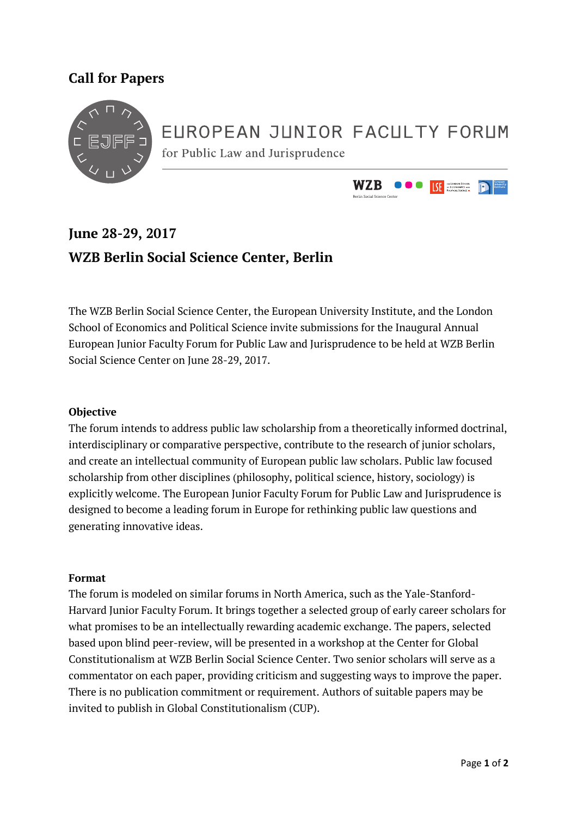### **Call for Papers**



# EUROPEAN JUNIOR FACULTY FORUM

for Public Law and Jurisprudence



## **June 28-29, 2017 WZB Berlin Social Science Center, Berlin**

The WZB Berlin Social Science Center, the European University Institute, and the London School of Economics and Political Science invite submissions for the Inaugural Annual European Junior Faculty Forum for Public Law and Jurisprudence to be held at WZB Berlin Social Science Center on June 28-29, 2017.

#### **Objective**

The forum intends to address public law scholarship from a theoretically informed doctrinal, interdisciplinary or comparative perspective, contribute to the research of junior scholars, and create an intellectual community of European public law scholars. Public law focused scholarship from other disciplines (philosophy, political science, history, sociology) is explicitly welcome. The European Junior Faculty Forum for Public Law and Jurisprudence is designed to become a leading forum in Europe for rethinking public law questions and generating innovative ideas.

#### **Format**

The forum is modeled on similar forums in North America, such as the Yale-Stanford-Harvard Junior Faculty Forum. It brings together a selected group of early career scholars for what promises to be an intellectually rewarding academic exchange. The papers, selected based upon blind peer-review, will be presented in a workshop at the Center for Global Constitutionalism at WZB Berlin Social Science Center. Two senior scholars will serve as a commentator on each paper, providing criticism and suggesting ways to improve the paper. There is no publication commitment or requirement. Authors of suitable papers may be invited to publish in Global Constitutionalism (CUP).